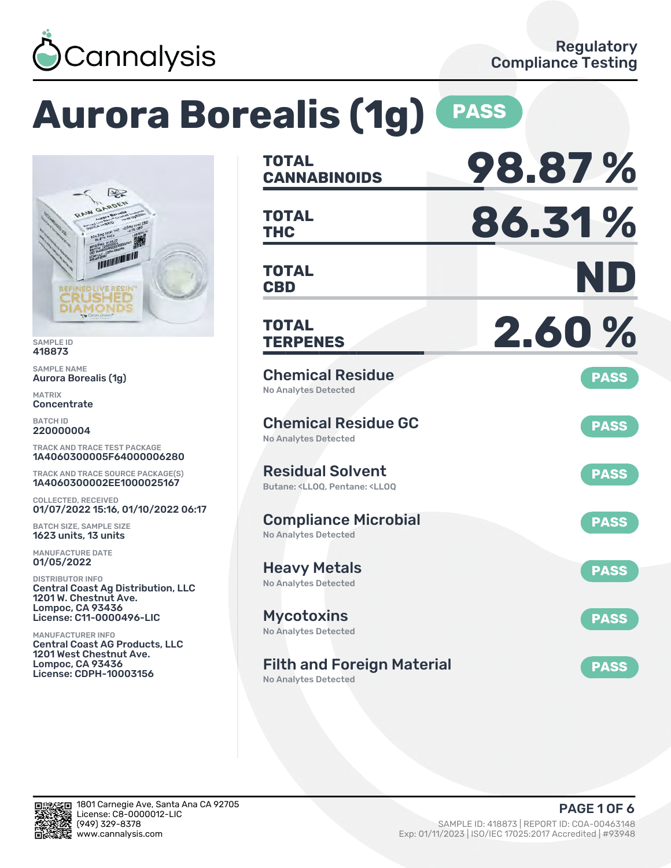

# **Aurora Borealis (1g) PASS**



SAMPLE ID 418873

SAMPLE NAME Aurora Borealis (1g)

MATRIX Concentrate

BATCH ID 220000004

TRACK AND TRACE TEST PACKAGE 1A4060300005F64000006280

TRACK AND TRACE SOURCE PACKAGE(S) 1A4060300002EE1000025167

COLLECTED, RECEIVED 01/07/2022 15:16, 01/10/2022 06:17

BATCH SIZE, SAMPLE SIZE 1623 units, 13 units

MANUFACTURE DATE 01/05/2022

DISTRIBUTOR INFO Central Coast Ag Distribution, LLC 1201 W. Chestnut Ave. Lompoc, CA 93436 License: C11-0000496-LIC

MANUFACTURER INFO Central Coast AG Products, LLC 1201 West Chestnut Ave. Lompoc, CA 93436 License: CDPH-10003156

| <b>TOTAL</b><br><b>CANNABINOIDS</b>                                                                | 98.87%      |
|----------------------------------------------------------------------------------------------------|-------------|
| <b>TOTAL</b><br><b>THC</b>                                                                         | 86.31%      |
| <b>TOTAL</b><br><b>CBD</b>                                                                         | ND          |
| <b>TOTAL</b><br><b>TERPENES</b>                                                                    | 2.60%       |
| <b>Chemical Residue</b><br>No Analytes Detected                                                    | <b>PASS</b> |
| <b>Chemical Residue GC</b><br><b>No Analytes Detected</b>                                          | <b>PASS</b> |
| <b>Residual Solvent</b><br>Butane: <ll00. <ll00<="" pentane:="" td=""><td><b>PASS</b></td></ll00.> | <b>PASS</b> |
| <b>Compliance Microbial</b><br><b>No Analytes Detected</b>                                         | <b>PASS</b> |
| <b>Heavy Metals</b><br><b>No Analytes Detected</b>                                                 | <b>PASS</b> |
| <b>Mycotoxins</b><br>No Analytes Detected                                                          | <b>PASS</b> |
| <b>Filth and Foreign Material</b><br><b>No Analytes Detected</b>                                   | <b>PASS</b> |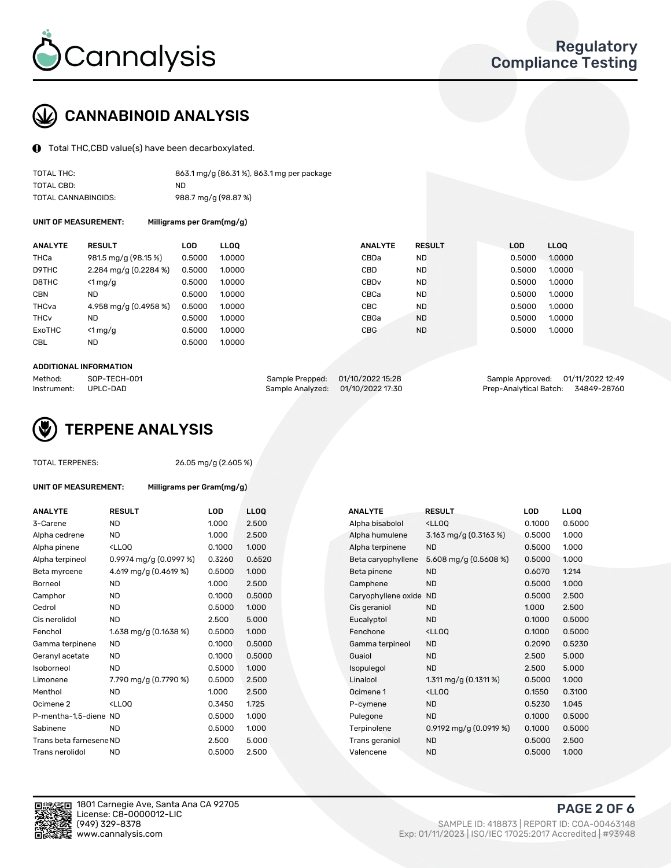

## CANNABINOID ANALYSIS

Total THC,CBD value(s) have been decarboxylated.

| TOTAL THC:          | 863.1 mg/g (86.31%), 863.1 mg per package |
|---------------------|-------------------------------------------|
| TOTAL CBD:          | ND.                                       |
| TOTAL CANNABINOIDS: | 988.7 mg/g (98.87 %)                      |

UNIT OF MEASUREMENT: Milligrams per Gram(mg/g)

| <b>ANALYTE</b>         | <b>RESULT</b>           | <b>LOD</b> | <b>LLOO</b> | <b>ANALYTE</b>   | <b>RESULT</b> | <b>LOD</b> | <b>LLOO</b> |
|------------------------|-------------------------|------------|-------------|------------------|---------------|------------|-------------|
| <b>THCa</b>            | 981.5 mg/g (98.15 %)    | 0.5000     | 1.0000      | CBDa             | <b>ND</b>     | 0.5000     | 1.0000      |
| D9THC                  | $2.284$ mg/g (0.2284 %) | 0.5000     | 1.0000      | CBD              | <b>ND</b>     | 0.5000     | 1.0000      |
| D8THC                  | $<$ 1 mg/g              | 0.5000     | 1.0000      | CBD <sub>v</sub> | <b>ND</b>     | 0.5000     | 1.0000      |
| <b>CBN</b>             | ND                      | 0.5000     | 1.0000      | CBCa             | <b>ND</b>     | 0.5000     | 1.0000      |
| THCva                  | 4.958 mg/g (0.4958 %)   | 0.5000     | 1.0000      | <b>CBC</b>       | <b>ND</b>     | 0.5000     | 1.0000      |
| <b>THC<sub>v</sub></b> | ND                      | 0.5000     | 1.0000      | CBGa             | <b>ND</b>     | 0.5000     | 1.0000      |
| ExoTHC                 | $<$ 1 mg/g              | 0.5000     | 1.0000      | <b>CBG</b>       | <b>ND</b>     | 0.5000     | 1.0000      |
| <b>CBL</b>             | ND                      | 0.5000     | 1.0000      |                  |               |            |             |

#### ADDITIONAL INFORMATION

| Method:     | SOP-TECH-001 | Sample Prepped: 01/10/2022 15:28  | Sample Approved: 01/11/2022 12:49  |  |
|-------------|--------------|-----------------------------------|------------------------------------|--|
| Instrument: | UPLC-DAD     | Sample Analyzed: 01/10/2022 17:30 | Prep-Analytical Batch: 34849-28760 |  |



TOTAL TERPENES: 26.05 mg/g (2.605 %)

| ANALYTE                 | <b>RESULT</b>                                                                                                             | LOD    | <b>LLOQ</b> | <b>ANALYTE</b>         | <b>RESULT</b>                                      | LOD    | <b>LLOQ</b> |
|-------------------------|---------------------------------------------------------------------------------------------------------------------------|--------|-------------|------------------------|----------------------------------------------------|--------|-------------|
| 3-Carene                | <b>ND</b>                                                                                                                 | 1.000  | 2.500       | Alpha bisabolol        | <ll0q< td=""><td>0.1000</td><td>0.500</td></ll0q<> | 0.1000 | 0.500       |
| Alpha cedrene           | <b>ND</b>                                                                                                                 | 1.000  | 2.500       | Alpha humulene         | 3.163 mg/g $(0.3163\%)$                            | 0.5000 | 1.000       |
| Alpha pinene            | <lloq< td=""><td>0.1000</td><td>1.000</td><td>Alpha terpinene</td><td><b>ND</b></td><td>0.5000</td><td>1.000</td></lloq<> | 0.1000 | 1.000       | Alpha terpinene        | <b>ND</b>                                          | 0.5000 | 1.000       |
| Alpha terpineol         | $0.9974$ mg/g $(0.0997%)$                                                                                                 | 0.3260 | 0.6520      | Beta caryophyllene     | 5.608 mg/g $(0.5608\%)$                            | 0.5000 | 1.000       |
| Beta myrcene            | 4.619 mg/g (0.4619 %)                                                                                                     | 0.5000 | 1.000       | Beta pinene            | <b>ND</b>                                          | 0.6070 | 1.214       |
| Borneol                 | <b>ND</b>                                                                                                                 | 1.000  | 2.500       | Camphene               | <b>ND</b>                                          | 0.5000 | 1.000       |
| Camphor                 | ND.                                                                                                                       | 0.1000 | 0.5000      | Caryophyllene oxide ND |                                                    | 0.5000 | 2.500       |
| Cedrol                  | ND                                                                                                                        | 0.5000 | 1.000       | Cis geraniol           | <b>ND</b>                                          | 1.000  | 2.500       |
| Cis nerolidol           | <b>ND</b>                                                                                                                 | 2.500  | 5.000       | Eucalyptol             | <b>ND</b>                                          | 0.1000 | 0.500       |
| Fenchol                 | 1.638 mg/g $(0.1638\%)$                                                                                                   | 0.5000 | 1.000       | Fenchone               | <lloq< td=""><td>0.1000</td><td>0.500</td></lloq<> | 0.1000 | 0.500       |
| Gamma terpinene         | <b>ND</b>                                                                                                                 | 0.1000 | 0.5000      | Gamma terpineol        | <b>ND</b>                                          | 0.2090 | 0.523       |
| Geranyl acetate         | <b>ND</b>                                                                                                                 | 0.1000 | 0.5000      | Guaiol                 | <b>ND</b>                                          | 2.500  | 5.000       |
| Isoborneol              | <b>ND</b>                                                                                                                 | 0.5000 | 1.000       | Isopulegol             | <b>ND</b>                                          | 2.500  | 5.000       |
| Limonene                | 7.790 mg/g (0.7790 %)                                                                                                     | 0.5000 | 2.500       | Linalool               | 1.311 mg/g $(0.1311%)$                             | 0.5000 | 1.000       |
| Menthol                 | <b>ND</b>                                                                                                                 | 1.000  | 2.500       | Ocimene 1              | <lloq< td=""><td>0.1550</td><td>0.310</td></lloq<> | 0.1550 | 0.310       |
| Ocimene 2               | <lloq< td=""><td>0.3450</td><td>1.725</td><td>P-cymene</td><td><b>ND</b></td><td>0.5230</td><td>1.045</td></lloq<>        | 0.3450 | 1.725       | P-cymene               | <b>ND</b>                                          | 0.5230 | 1.045       |
| P-mentha-1,5-diene ND   |                                                                                                                           | 0.5000 | 1.000       | Pulegone               | <b>ND</b>                                          | 0.1000 | 0.500       |
| Sabinene                | <b>ND</b>                                                                                                                 | 0.5000 | 1.000       | Terpinolene            | 0.9192 mg/g $(0.0919\%)$                           | 0.1000 | 0.500       |
| Trans beta farnesene ND |                                                                                                                           | 2.500  | 5.000       | Trans geraniol         | <b>ND</b>                                          | 0.5000 | 2.500       |
| Trans nerolidol         | <b>ND</b>                                                                                                                 | 0.5000 | 2.500       | Valencene              | <b>ND</b>                                          | 0.5000 | 1.000       |

UNIT OF MEASUREMENT: Milligrams per Gram(mg/g)

| <b>ANALYTE</b>          | <b>RESULT</b>                                                                                               | LOD    | <b>LLOQ</b> | <b>ANALYTE</b>      | <b>RESULT</b>                        | <b>LOD</b> |
|-------------------------|-------------------------------------------------------------------------------------------------------------|--------|-------------|---------------------|--------------------------------------|------------|
| 3-Carene                | ND                                                                                                          | 1.000  | 2.500       | Alpha bisabolol     | <ll0q< td=""><td>0.1000</td></ll0q<> | 0.1000     |
| Alpha cedrene           | <b>ND</b>                                                                                                   | 1.000  | 2.500       | Alpha humulene      | 3.163 mg/g $(0.3163\%)$              | 0.5000     |
| Alpha pinene            | <lloq< td=""><td>0.1000</td><td>1.000</td><td>Alpha terpinene</td><td><b>ND</b></td><td>0.5000</td></lloq<> | 0.1000 | 1.000       | Alpha terpinene     | <b>ND</b>                            | 0.5000     |
| Alpha terpineol         | $0.9974$ mg/g $(0.0997%)$                                                                                   | 0.3260 | 0.6520      | Beta caryophyllene  | 5.608 mg/g (0.5608 %)                | 0.5000     |
| Beta myrcene            | 4.619 mg/g (0.4619 %)                                                                                       | 0.5000 | 1.000       | Beta pinene         | <b>ND</b>                            | 0.6070     |
| Borneol                 | ND                                                                                                          | 1.000  | 2.500       | Camphene            | <b>ND</b>                            | 0.5000     |
| Camphor                 | <b>ND</b>                                                                                                   | 0.1000 | 0.5000      | Caryophyllene oxide | <b>ND</b>                            | 0.5000     |
| Cedrol                  | <b>ND</b>                                                                                                   | 0.5000 | 1.000       | Cis geraniol        | <b>ND</b>                            | 1.000      |
| Cis nerolidol           | <b>ND</b>                                                                                                   | 2.500  | 5.000       | Eucalyptol          | <b>ND</b>                            | 0.1000     |
| Fenchol                 | 1.638 mg/g $(0.1638\%)$                                                                                     | 0.5000 | 1.000       | Fenchone            | <ll0q< td=""><td>0.1000</td></ll0q<> | 0.1000     |
| Gamma terpinene         | ND                                                                                                          | 0.1000 | 0.5000      | Gamma terpineol     | <b>ND</b>                            | 0.2090     |
| Geranyl acetate         | ND.                                                                                                         | 0.1000 | 0.5000      | Guaiol              | <b>ND</b>                            | 2.500      |
| Isoborneol              | <b>ND</b>                                                                                                   | 0.5000 | 1.000       | Isopulegol          | <b>ND</b>                            | 2.500      |
| Limonene                | 7.790 mg/g (0.7790 %)                                                                                       | 0.5000 | 2.500       | Linalool            | 1.311 mg/g $(0.1311\%)$              | 0.5000     |
| Menthol                 | <b>ND</b>                                                                                                   | 1.000  | 2.500       | Ocimene 1           | <ll0q< td=""><td>0.1550</td></ll0q<> | 0.1550     |
| Ocimene 2               | <lloq< td=""><td>0.3450</td><td>1.725</td><td>P-cymene</td><td><b>ND</b></td><td>0.5230</td></lloq<>        | 0.3450 | 1.725       | P-cymene            | <b>ND</b>                            | 0.5230     |
| P-mentha-1,5-diene ND   |                                                                                                             | 0.5000 | 1.000       | Pulegone            | <b>ND</b>                            | 0.1000     |
| Sabinene                | <b>ND</b>                                                                                                   | 0.5000 | 1.000       | Terpinolene         | 0.9192 mg/g $(0.0919\%)$             | 0.1000     |
| Trans beta farnesene ND |                                                                                                             | 2.500  | 5.000       | Trans geraniol      | <b>ND</b>                            | 0.5000     |
| Trans nerolidol         | <b>ND</b>                                                                                                   | 0.5000 | 2.500       | Valencene           | <b>ND</b>                            | 0.5000     |



1801 Carnegie Ave, Santa Ana CA 92705 License: C8-0000012-LIC<br>(949) 329-8378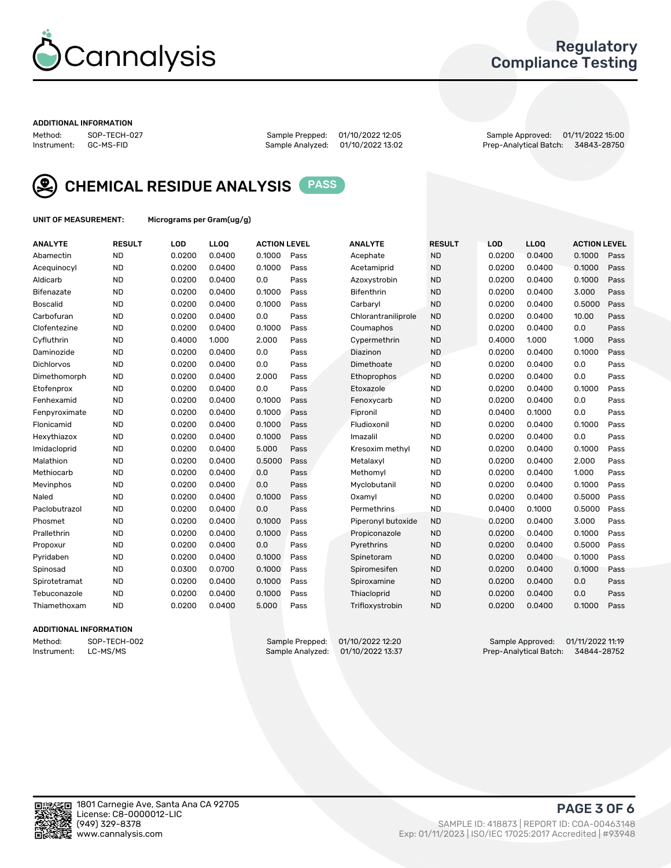

## Regulatory Compliance Testing

#### ADDITIONAL INFORMATION

Method: SOP-TECH-027 Sample Prepped: 01/10/2022 12:05 Sample Approved: 01/11/2022 15:00 Prep-Analytical Batch: 34843-28750



CHEMICAL RESIDUE ANALYSIS PASS

UNIT OF MEASUREMENT: Micrograms per Gram(ug/g)

| <b>ANALYTE</b>    | <b>RESULT</b> | LOD    | LL <sub>OO</sub> | <b>ACTION LEVEL</b> |      | <b>ANALYTE</b>      | <b>RESULT</b> | LOD    | <b>LLOQ</b> | <b>ACTION LEVEL</b> |      |
|-------------------|---------------|--------|------------------|---------------------|------|---------------------|---------------|--------|-------------|---------------------|------|
| Abamectin         | <b>ND</b>     | 0.0200 | 0.0400           | 0.1000              | Pass | Acephate            | <b>ND</b>     | 0.0200 | 0.0400      | 0.1000              | Pass |
| Acequinocyl       | <b>ND</b>     | 0.0200 | 0.0400           | 0.1000              | Pass | Acetamiprid         | <b>ND</b>     | 0.0200 | 0.0400      | 0.1000              | Pass |
| Aldicarb          | <b>ND</b>     | 0.0200 | 0.0400           | 0.0                 | Pass | Azoxystrobin        | <b>ND</b>     | 0.0200 | 0.0400      | 0.1000              | Pass |
| Bifenazate        | <b>ND</b>     | 0.0200 | 0.0400           | 0.1000              | Pass | <b>Bifenthrin</b>   | <b>ND</b>     | 0.0200 | 0.0400      | 3.000               | Pass |
| <b>Boscalid</b>   | <b>ND</b>     | 0.0200 | 0.0400           | 0.1000              | Pass | Carbarvl            | <b>ND</b>     | 0.0200 | 0.0400      | 0.5000              | Pass |
| Carbofuran        | <b>ND</b>     | 0.0200 | 0.0400           | 0.0                 | Pass | Chlorantraniliprole | <b>ND</b>     | 0.0200 | 0.0400      | 10.00               | Pass |
| Clofentezine      | <b>ND</b>     | 0.0200 | 0.0400           | 0.1000              | Pass | Coumaphos           | <b>ND</b>     | 0.0200 | 0.0400      | 0.0                 | Pass |
| Cyfluthrin        | <b>ND</b>     | 0.4000 | 1.000            | 2.000               | Pass | Cypermethrin        | <b>ND</b>     | 0.4000 | 1.000       | 1.000               | Pass |
| Daminozide        | <b>ND</b>     | 0.0200 | 0.0400           | 0.0                 | Pass | Diazinon            | <b>ND</b>     | 0.0200 | 0.0400      | 0.1000              | Pass |
| <b>Dichlorvos</b> | <b>ND</b>     | 0.0200 | 0.0400           | 0.0                 | Pass | Dimethoate          | <b>ND</b>     | 0.0200 | 0.0400      | 0.0                 | Pass |
| Dimethomorph      | <b>ND</b>     | 0.0200 | 0.0400           | 2.000               | Pass | <b>Ethoprophos</b>  | <b>ND</b>     | 0.0200 | 0.0400      | 0.0                 | Pass |
| Etofenprox        | <b>ND</b>     | 0.0200 | 0.0400           | 0.0                 | Pass | Etoxazole           | <b>ND</b>     | 0.0200 | 0.0400      | 0.1000              | Pass |
| Fenhexamid        | <b>ND</b>     | 0.0200 | 0.0400           | 0.1000              | Pass | Fenoxycarb          | <b>ND</b>     | 0.0200 | 0.0400      | 0.0                 | Pass |
| Fenpyroximate     | <b>ND</b>     | 0.0200 | 0.0400           | 0.1000              | Pass | Fipronil            | <b>ND</b>     | 0.0400 | 0.1000      | 0.0                 | Pass |
| Flonicamid        | <b>ND</b>     | 0.0200 | 0.0400           | 0.1000              | Pass | Fludioxonil         | <b>ND</b>     | 0.0200 | 0.0400      | 0.1000              | Pass |
| Hexythiazox       | <b>ND</b>     | 0.0200 | 0.0400           | 0.1000              | Pass | Imazalil            | <b>ND</b>     | 0.0200 | 0.0400      | 0.0                 | Pass |
| Imidacloprid      | <b>ND</b>     | 0.0200 | 0.0400           | 5.000               | Pass | Kresoxim methyl     | <b>ND</b>     | 0.0200 | 0.0400      | 0.1000              | Pass |
| Malathion         | <b>ND</b>     | 0.0200 | 0.0400           | 0.5000              | Pass | Metalaxvl           | <b>ND</b>     | 0.0200 | 0.0400      | 2.000               | Pass |
| Methiocarb        | <b>ND</b>     | 0.0200 | 0.0400           | 0.0                 | Pass | Methomyl            | <b>ND</b>     | 0.0200 | 0.0400      | 1.000               | Pass |
| Mevinphos         | <b>ND</b>     | 0.0200 | 0.0400           | 0.0                 | Pass | Myclobutanil        | <b>ND</b>     | 0.0200 | 0.0400      | 0.1000              | Pass |
| Naled             | <b>ND</b>     | 0.0200 | 0.0400           | 0.1000              | Pass | Oxamyl              | <b>ND</b>     | 0.0200 | 0.0400      | 0.5000              | Pass |
| Paclobutrazol     | <b>ND</b>     | 0.0200 | 0.0400           | 0.0                 | Pass | Permethrins         | <b>ND</b>     | 0.0400 | 0.1000      | 0.5000              | Pass |
| Phosmet           | <b>ND</b>     | 0.0200 | 0.0400           | 0.1000              | Pass | Piperonyl butoxide  | <b>ND</b>     | 0.0200 | 0.0400      | 3.000               | Pass |
| Prallethrin       | <b>ND</b>     | 0.0200 | 0.0400           | 0.1000              | Pass | Propiconazole       | <b>ND</b>     | 0.0200 | 0.0400      | 0.1000              | Pass |
| Propoxur          | <b>ND</b>     | 0.0200 | 0.0400           | 0.0                 | Pass | Pyrethrins          | <b>ND</b>     | 0.0200 | 0.0400      | 0.5000              | Pass |
| Pyridaben         | <b>ND</b>     | 0.0200 | 0.0400           | 0.1000              | Pass | Spinetoram          | <b>ND</b>     | 0.0200 | 0.0400      | 0.1000              | Pass |
| Spinosad          | <b>ND</b>     | 0.0300 | 0.0700           | 0.1000              | Pass | Spiromesifen        | <b>ND</b>     | 0.0200 | 0.0400      | 0.1000              | Pass |
| Spirotetramat     | <b>ND</b>     | 0.0200 | 0.0400           | 0.1000              | Pass | Spiroxamine         | <b>ND</b>     | 0.0200 | 0.0400      | 0.0                 | Pass |
| Tebuconazole      | <b>ND</b>     | 0.0200 | 0.0400           | 0.1000              | Pass | Thiacloprid         | <b>ND</b>     | 0.0200 | 0.0400      | 0.0                 | Pass |
| Thiamethoxam      | <b>ND</b>     | 0.0200 | 0.0400           | 5.000               | Pass | Trifloxystrobin     | <b>ND</b>     | 0.0200 | 0.0400      | 0.1000              | Pass |

#### ADDITIONAL INFORMATION

Method: SOP-TECH-002 Sample Prepped: 01/10/2022 12:20 Sample Approved: 01/11/2022 11:19<br>Instrument: LC-MS/MS Sample Analyzed: 01/10/2022 13:37 Prep-Analytical Batch: 34844-28752 Prep-Analytical Batch: 34844-28752

PAGE 3 OF 6

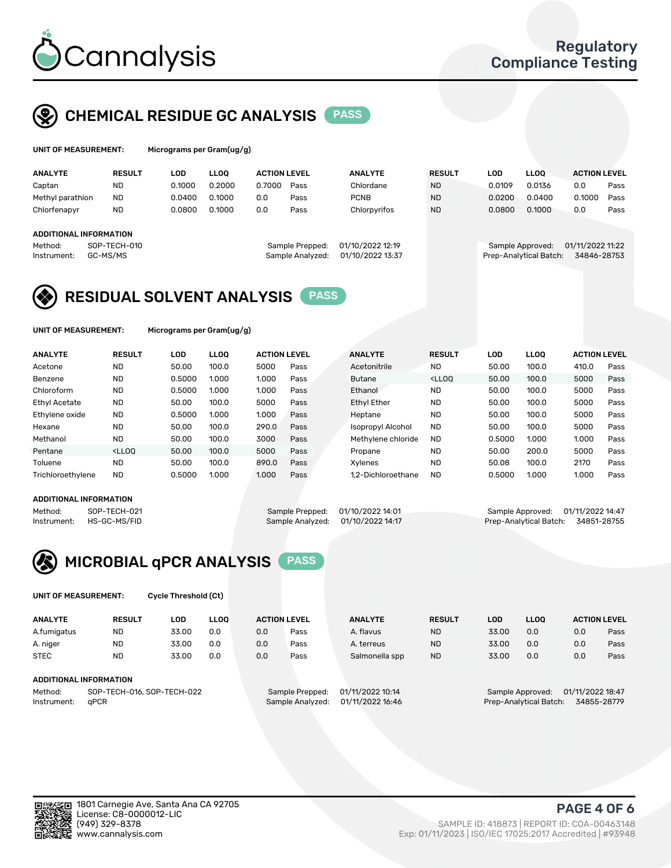

## CHEMICAL RESIDUE GC ANALYSIS PASS

| UNIT OF MEASUREMENT: |               |        | Micrograms per Gram(ug/g) |                     |      |                |               |        |             |                     |      |
|----------------------|---------------|--------|---------------------------|---------------------|------|----------------|---------------|--------|-------------|---------------------|------|
| <b>ANALYTE</b>       | <b>RESULT</b> | LOD    | LLOO                      | <b>ACTION LEVEL</b> |      | <b>ANALYTE</b> | <b>RESULT</b> | LOD    | <b>LLOO</b> | <b>ACTION LEVEL</b> |      |
| Captan               | <b>ND</b>     | 0.1000 | 0.2000                    | 0.7000              | Pass | Chlordane      | <b>ND</b>     | 0.0109 | 0.0136      | 0.0                 | Pass |
| Methyl parathion     | <b>ND</b>     | 0.0400 | 0.1000                    | 0.0                 | Pass | <b>PCNB</b>    | <b>ND</b>     | 0.0200 | 0.0400      | 0.1000              | Pass |
| Chlorfenapyr         | <b>ND</b>     | 0.0800 | 0.1000                    | 0.0                 | Pass | Chlorpyrifos   | <b>ND</b>     | 0.0800 | 0.1000      | 0.0                 | Pass |

#### ADDITIONAL INFORMATION

| Method:              | SOP-TECH-010 | Sample Prepped: 01/10/2022 12:19  | Sample Approved: 01/11/2022 11:22  |  |
|----------------------|--------------|-----------------------------------|------------------------------------|--|
| Instrument: GC-MS/MS |              | Sample Analyzed: 01/10/2022 13:37 | Prep-Analytical Batch: 34846-28753 |  |
|                      |              |                                   |                                    |  |

## Method: SOP-TECH-010 Sample Prepped: 01/10/2022 12:19 Sample Approved: 01/11/2022 11:22

## RESIDUAL SOLVENT ANALYSIS PASS

UNIT OF MEASUREMENT: Micrograms per Gram(ug/g)

| <b>RESULT</b><br><b>LLOO</b><br><b>ACTION LEVEL</b><br><b>ANALYTE</b><br>LOD<br><b>ANALYTE</b><br>LOD<br><b>RESULT</b><br><b>LLOO</b><br><b>ACTION LEVEL</b><br><b>ND</b><br>Acetone<br>50.00<br>100.0<br>5000<br>Acetonitrile<br><b>ND</b><br>100.0<br>410.0<br>Pass<br>50.00<br>Benzene<br><b>ND</b><br>0.5000<br>1.000<br><lloo<br>100.0<br/>5000<br/>1.000<br/>50.00<br/>Pass<br/><b>Butane</b><br/>Chloroform<br/><b>ND</b><br/>0.5000<br/>1.000<br/><b>ND</b><br/>100.0<br/>5000<br/>1.000<br/>Ethanol<br/>50.00<br/>Pass</lloo<br> |      |
|-------------------------------------------------------------------------------------------------------------------------------------------------------------------------------------------------------------------------------------------------------------------------------------------------------------------------------------------------------------------------------------------------------------------------------------------------------------------------------------------------------------------------------------------|------|
|                                                                                                                                                                                                                                                                                                                                                                                                                                                                                                                                           |      |
|                                                                                                                                                                                                                                                                                                                                                                                                                                                                                                                                           | Pass |
|                                                                                                                                                                                                                                                                                                                                                                                                                                                                                                                                           | Pass |
|                                                                                                                                                                                                                                                                                                                                                                                                                                                                                                                                           | Pass |
| Ethyl Acetate<br><b>ND</b><br><b>ND</b><br>100.0<br>5000<br><b>Ethyl Ether</b><br>100.0<br>5000<br>50.00<br>50.00<br>Pass                                                                                                                                                                                                                                                                                                                                                                                                                 | Pass |
| Ethylene oxide<br><b>ND</b><br><b>ND</b><br>0.5000<br>1.000<br>100.0<br>1.000<br>5000<br>Pass<br>Heptane<br>50.00                                                                                                                                                                                                                                                                                                                                                                                                                         | Pass |
| <b>ND</b><br>Hexane<br>290.0<br><b>ND</b><br>50.00<br>100.0<br>100.0<br>5000<br>Pass<br>Isopropyl Alcohol<br>50.00                                                                                                                                                                                                                                                                                                                                                                                                                        | Pass |
| <b>ND</b><br><b>ND</b><br>Methanol<br>100.0<br>3000<br>1.000<br>50.00<br>Pass<br>Methylene chloride<br>0.5000<br>1.000                                                                                                                                                                                                                                                                                                                                                                                                                    | Pass |
| Pentane<br>5000<br><b>ND</b><br>200.0<br><lloo<br>50.00<br/>100.0<br/>5000<br/>50.00<br/>Pass<br/>Propane</lloo<br>                                                                                                                                                                                                                                                                                                                                                                                                                       | Pass |
| Toluene<br><b>ND</b><br><b>ND</b><br>100.0<br>890.0<br>100.0<br>2170<br>50.00<br>Pass<br>50.08<br>Xylenes                                                                                                                                                                                                                                                                                                                                                                                                                                 | Pass |
| Trichloroethylene<br><b>ND</b><br><b>ND</b><br>0.5000<br>1.000<br>Pass<br>1.000<br>1.000<br>1.2-Dichloroethane<br>0.5000<br>1.000                                                                                                                                                                                                                                                                                                                                                                                                         | Pass |

#### ADDITIONAL INFORMATION

Method: SOP-TECH-021 Sample Prepped: 01/10/2022 14:01 Sample Approved: 01/11/2022 14:47<br>Instrument: HS-GC-MS/FID Sample Analyzed: 01/10/2022 14:17 Prep-Analytical Batch: 34851-28755 Prep-Analytical Batch: 34851-28755



UNIT OF MEASUREMENT: Cycle Threshold (Ct)

| <b>ANALYTE</b>                        | <b>RESULT</b> | LOD   | <b>LLOO</b> |                 | <b>ACTION LEVEL</b> | <b>ANALYTE</b>   | <b>RESULT</b>                        | LOD   | LL <sub>00</sub>       |     | <b>ACTION LEVEL</b> |
|---------------------------------------|---------------|-------|-------------|-----------------|---------------------|------------------|--------------------------------------|-------|------------------------|-----|---------------------|
| A.fumigatus                           | <b>ND</b>     | 33.00 | 0.0         | 0.0             | Pass                | A. flavus        | <b>ND</b>                            | 33.00 | 0.0                    | 0.0 | Pass                |
| A. niger                              | <b>ND</b>     | 33.00 | 0.0         | 0.0             | Pass                | A. terreus       | <b>ND</b>                            | 33.00 | 0.0                    | 0.0 | Pass                |
| <b>STEC</b>                           | <b>ND</b>     | 33.00 | 0.0         | 0.0             | Pass                | Salmonella spp   | <b>ND</b>                            | 33.00 | 0.0                    | 0.0 | Pass                |
| ADDITIONAL INFORMATION                |               |       |             |                 |                     |                  |                                      |       |                        |     |                     |
| SOP-TECH-016, SOP-TECH-022<br>Method: |               |       |             | Sample Prepped: | 01/11/2022 10:14    |                  | 01/11/2022 18:47<br>Sample Approved: |       |                        |     |                     |
| Instrument:                           | aPCR          |       |             |                 | Sample Analyzed:    | 01/11/2022 16:46 |                                      |       | Prep-Analytical Batch: |     | 34855-28779         |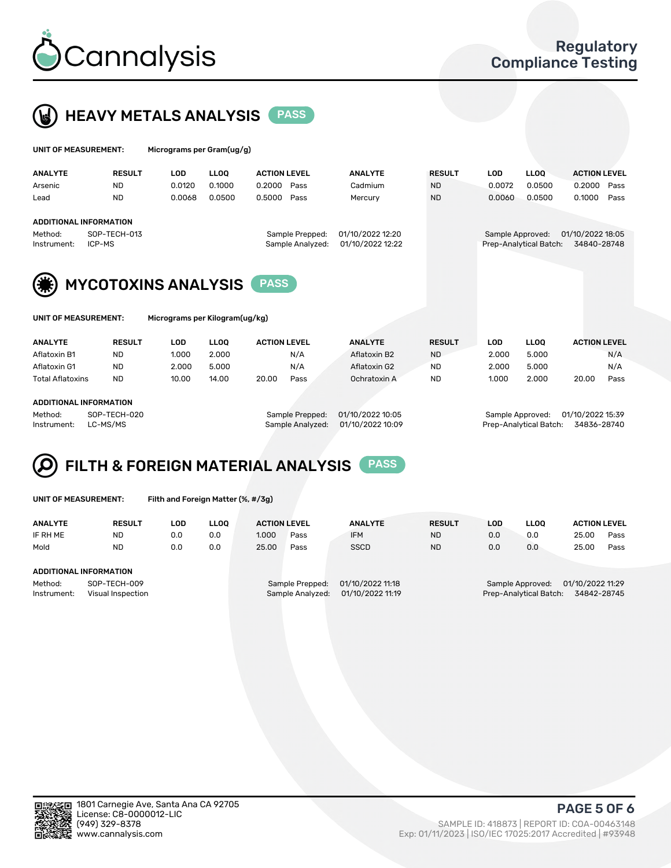



| UNIT OF MEASUREMENT:   |                               | Micrograms per Gram(ug/g) |             |                                     |  |                                      |               |                  |                        |                                 |      |
|------------------------|-------------------------------|---------------------------|-------------|-------------------------------------|--|--------------------------------------|---------------|------------------|------------------------|---------------------------------|------|
| <b>ANALYTE</b>         | <b>RESULT</b>                 | <b>LOD</b>                | <b>LLOO</b> | <b>ACTION LEVEL</b>                 |  | <b>ANALYTE</b>                       | <b>RESULT</b> | <b>LOD</b>       | <b>LLOO</b>            | <b>ACTION LEVEL</b>             |      |
| Arsenic                | <b>ND</b>                     | 0.0120                    | 0.1000      | 0.2000<br>Pass                      |  | Cadmium                              | <b>ND</b>     | 0.0072           | 0.0500                 | 0.2000                          | Pass |
| Lead                   | <b>ND</b>                     | 0.0068                    | 0.0500      | 0.5000<br>Pass                      |  | Mercury                              | <b>ND</b>     | 0.0060           | 0.0500                 | 0.1000                          | Pass |
|                        | <b>ADDITIONAL INFORMATION</b> |                           |             |                                     |  |                                      |               |                  |                        |                                 |      |
| Method:<br>Instrument: | SOP-TECH-013<br>ICP-MS        |                           |             | Sample Prepped:<br>Sample Analyzed: |  | 01/10/2022 12:20<br>01/10/2022 12:22 |               | Sample Approved: | Prep-Analytical Batch: | 01/10/2022 18:05<br>34840-28748 |      |
| (纂)                    | <b>MYCOTOXINS ANALYSIS</b>    |                           |             | <b>PASS</b>                         |  |                                      |               |                  |                        |                                 |      |



UNIT OF MEASUREMENT: Micrograms per Kilogram(ug/kg)

| <b>ANALYTE</b>          | <b>RESULT</b> | LOD   | <b>LLOO</b> | <b>ACTION LEVEL</b> |      | <b>ANALYTE</b> | <b>RESULT</b> | LOD.  | <b>LLOO</b> | <b>ACTION LEVEL</b> |      |
|-------------------------|---------------|-------|-------------|---------------------|------|----------------|---------------|-------|-------------|---------------------|------|
| Aflatoxin B1            | <b>ND</b>     | 1.000 | 2.000       |                     | N/A  | Aflatoxin B2   | <b>ND</b>     | 2.000 | 5.000       |                     | N/A  |
| Aflatoxin G1            | <b>ND</b>     | 2.000 | 5.000       |                     | N/A  | Aflatoxin G2   | <b>ND</b>     | 2.000 | 5.000       |                     | N/A  |
| <b>Total Aflatoxins</b> | <b>ND</b>     | 10.00 | 14.00       | 20.00               | Pass | Ochratoxin A   | <b>ND</b>     | 1.000 | 2.000       | 20.00               | Pass |
|                         |               |       |             |                     |      |                |               |       |             |                     |      |
|                         |               |       |             |                     |      |                |               |       |             |                     |      |

#### ADDITIONAL INFORMATION

Method: SOP-TECH-020 Sample Prepped: 01/10/2022 10:05 Sample Approved: 01/10/2022 15:39 Instrument: LC-MS/MS Sample Analyzed: 01/10/2022 10:09 Prep-Analytical Batch: 34836-28740

## FILTH & FOREIGN MATERIAL ANALYSIS PASS

UNIT OF MEASUREMENT: Filth and Foreign Matter (%, #/3g)

| <b>ANALYTE</b>                                              | <b>RESULT</b> | LOD | <b>LLOO</b> | <b>ACTION LEVEL</b>                                                         |      | <b>ANALYTE</b> | <b>RESULT</b> | LOD                                                                           | LLOO |       | <b>ACTION LEVEL</b> |  |  |
|-------------------------------------------------------------|---------------|-----|-------------|-----------------------------------------------------------------------------|------|----------------|---------------|-------------------------------------------------------------------------------|------|-------|---------------------|--|--|
| IF RH ME                                                    | <b>ND</b>     | 0.0 | 0.0         | 1.000                                                                       | Pass | <b>IFM</b>     | <b>ND</b>     | 0.0                                                                           | 0.0  | 25.00 | Pass                |  |  |
| Mold                                                        | <b>ND</b>     | 0.0 | 0.0         | 25.00                                                                       | Pass | <b>SSCD</b>    | <b>ND</b>     | 0.0                                                                           | 0.0  | 25.00 | Pass                |  |  |
| <b>ADDITIONAL INFORMATION</b>                               |               |     |             |                                                                             |      |                |               |                                                                               |      |       |                     |  |  |
| Method:<br>SOP-TECH-009<br>Instrument:<br>Visual Inspection |               |     |             | 01/10/2022 11:18<br>Sample Prepped:<br>01/10/2022 11:19<br>Sample Analyzed: |      |                |               | 01/10/2022 11:29<br>Sample Approved:<br>Prep-Analytical Batch:<br>34842-28745 |      |       |                     |  |  |